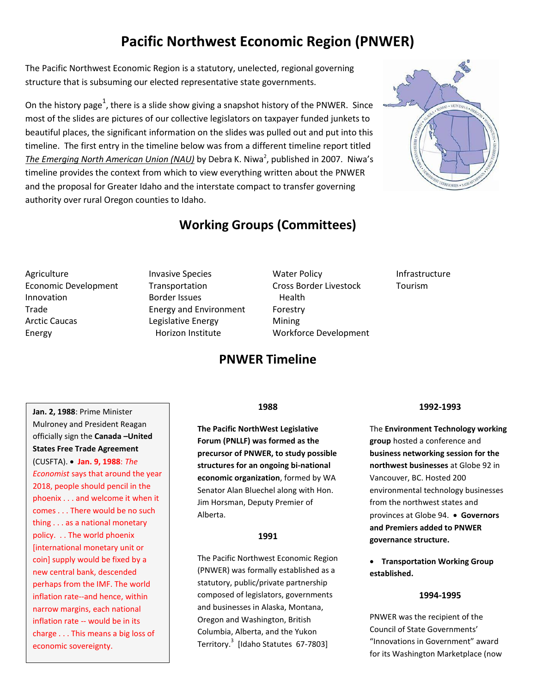# **Pacific Northwest Economic Region (PNWER)**

The Pacific Northwest Economic Region is a statutory, unelected, regional governing structure that is subsuming our elected representative state governments.

On the history page<sup>1</sup>, there is a slide show giving a snapshot history of the PNWER. Since most of the slides are pictures of our collective legislators on taxpayer funded junkets to beautiful places, the significant information on the slides was pulled out and put into this timeline. The first entry in the timeline below was from a different timeline report titled The Emerging North American Union (NAU) by Debra K. Niwa<sup>2</sup>, published in 2007. Niwa's timeline provides the context from which to view everything written about the PNWER and the proposal for Greater Idaho and the interstate compact to transfer governing authority over rural Oregon counties to Idaho.



# **Working Groups (Committees)**

- **Agriculture** Economic Development Innovation Trade Arctic Caucas Energy
- Invasive Species Transportation Border Issues Energy and Environment Legislative Energy Horizon Institute
- Water Policy Cross Border Livestock Health Forestry Mining Workforce Development

# Infrastructure Tourism

**Jan. 2, 1988**: Prime Minister Mulroney and President Reagan officially sign the **Canada –United States Free Trade Agreement**  (CUSFTA). **Jan. 9, 1988**: *The Economist* says that around the year 2018, people should pencil in the phoenix . . . and welcome it when it comes . . . There would be no such thing . . . as a national monetary policy. . . The world phoenix [international monetary unit or coin] supply would be fixed by a new central bank, descended perhaps from the IMF. The world inflation rate--and hence, within narrow margins, each national inflation rate -- would be in its charge . . . This means a big loss of economic sovereignty.

# **1988**

**PNWER Timeline**

**The Pacific NorthWest Legislative Forum (PNLLF) was formed as the precursor of PNWER, to study possible structures for an ongoing bi-national economic organization**, formed by WA Senator Alan Bluechel along with Hon. Jim Horsman, Deputy Premier of Alberta.

# **1991**

The Pacific Northwest Economic Region (PNWER) was formally established as a statutory, public/private partnership composed of legislators, governments and businesses in Alaska, Montana, Oregon and Washington, British Columbia, Alberta, and the Yukon Territory. 3 [Idaho Statutes 67-7803]

# **1992-1993**

The **Environment Technology working group** hosted a conference and **business networking session for the northwest businesses** at Globe 92 in Vancouver, BC. Hosted 200 environmental technology businesses from the northwest states and provinces at Globe 94. **Governors and Premiers added to PNWER governance structure.**

 **Transportation Working Group established.**

## **1994-1995**

PNWER was the recipient of the Council of State Governments' "Innovations in Government" award for its Washington Marketplace (now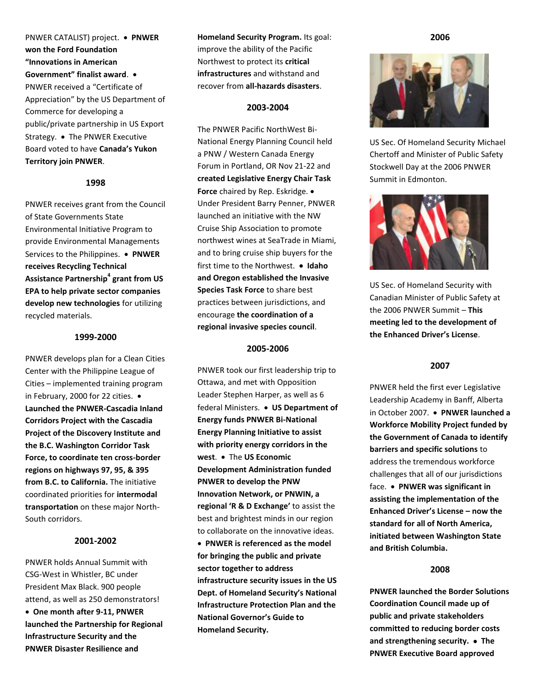PNWER CATALIST) project. **PNWER won the Ford Foundation "Innovations in American Government" finalist award**. PNWER received a "Certificate of Appreciation" by the US Department of Commerce for developing a public/private partnership in US Export Strategy. • The PNWER Executive Board voted to have **Canada's Yukon Territory join PNWER**.

### **1998**

PNWER receives grant from the Council of State Governments State Environmental Initiative Program to provide Environmental Managements Services to the Philippines. **PNWER receives Recycling Technical Assistance Partnership<sup>4</sup> grant from US EPA to help private sector companies develop new technologies** for utilizing recycled materials.

### **1999-2000**

PNWER develops plan for a Clean Cities Center with the Philippine League of Cities – implemented training program in February, 2000 for 22 cities. . **Launched the PNWER-Cascadia Inland Corridors Project with the Cascadia Project of the Discovery Institute and the B.C. Washington Corridor Task Force, to coordinate ten cross-border regions on highways 97, 95, & 395 from B.C. to California.** The initiative coordinated priorities for **intermodal transportation** on these major North-South corridors.

### **2001-2002**

PNWER holds Annual Summit with CSG-West in Whistler, BC under President Max Black. 900 people attend, as well as 250 demonstrators!

 **One month after 9-11, PNWER launched the Partnership for Regional Infrastructure Security and the PNWER Disaster Resilience and** 

**Homeland Security Program.** Its goal: improve the ability of the Pacific Northwest to protect its **critical infrastructures** and withstand and recover from **all-hazards disasters**.

### **2003-2004**

The PNWER Pacific NorthWest Bi-National Energy Planning Council held a PNW / Western Canada Energy Forum in Portland, OR Nov 21-22 and **created Legislative Energy Chair Task Force** chaired by Rep. Eskridge. Under President Barry Penner, PNWER launched an initiative with the NW Cruise Ship Association to promote northwest wines at SeaTrade in Miami, and to bring cruise ship buyers for the first time to the Northwest. • Idaho **and Oregon established the Invasive Species Task Force** to share best practices between jurisdictions, and encourage **the coordination of a regional invasive species council**.

#### **2005-2006**

PNWER took our first leadership trip to Ottawa, and met with Opposition Leader Stephen Harper, as well as 6 federal Ministers. **US Department of Energy funds PNWER Bi-National Energy Planning Initiative to assist with priority energy corridors in the**  west. • The US Economic **Development Administration funded PNWER to develop the PNW Innovation Network, or PNWIN, a regional 'R & D Exchange'** to assist the best and brightest minds in our region to collaborate on the innovative ideas.

 **PNWER is referenced as the model for bringing the public and private sector together to address infrastructure security issues in the US Dept. of Homeland Security's National Infrastructure Protection Plan and the National Governor's Guide to Homeland Security.**

**2006**



US Sec. Of Homeland Security Michael Chertoff and Minister of Public Safety Stockwell Day at the 2006 PNWER Summit in Edmonton.



US Sec. of Homeland Security with Canadian Minister of Public Safety at the 2006 PNWER Summit – **This meeting led to the development of the Enhanced Driver's License**.

# **2007**

PNWER held the first ever Legislative Leadership Academy in Banff, Alberta in October 2007. **PNWER launched a Workforce Mobility Project funded by the Government of Canada to identify barriers and specific solutions** to address the tremendous workforce challenges that all of our jurisdictions face. **PNWER was significant in assisting the implementation of the Enhanced Driver's License – now the standard for all of North America, initiated between Washington State and British Columbia.**

### **2008**

**PNWER launched the Border Solutions Coordination Council made up of public and private stakeholders committed to reducing border costs and strengthening security. The PNWER Executive Board approved**